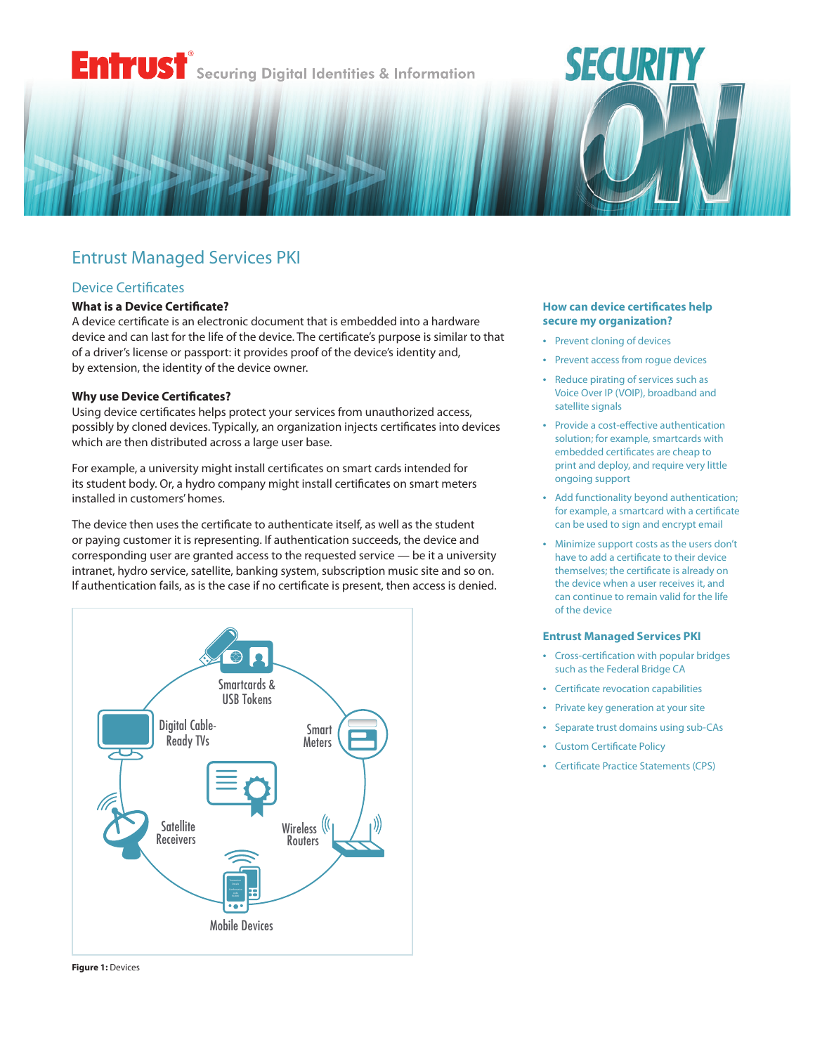# **Entrust** Securing Digital Identities & Information

# Entrust Managed Services PKI

# Device Certificates

## **What is a Device Certificate?**

A device certificate is an electronic document that is embedded into a hardware device and can last for the life of the device. The certificate's purpose is similar to that of a driver's license or passport: it provides proof of the device's identity and, by extension, the identity of the device owner.

#### **Why use Device Certificates?**

Using device certificates helps protect your services from unauthorized access, possibly by cloned devices. Typically, an organization injects certificates into devices which are then distributed across a large user base.

For example, a university might install certificates on smart cards intended for its student body. Or, a hydro company might install certificates on smart meters installed in customers' homes.

The device then uses the certificate to authenticate itself, as well as the student or paying customer it is representing. If authentication succeeds, the device and corresponding user are granted access to the requested service — be it a university intranet, hydro service, satellite, banking system, subscription music site and so on. If authentication fails, as is the case if no certificate is present, then access is denied.



## **How can device certificates help secure my organization?**

**SECURITY** 

- Prevent cloning of devices
- Prevent access from rogue devices
- Reduce pirating of services such as Voice Over IP (VOIP), broadband and satellite signals
- Provide a cost-effective authentication solution; for example, smartcards with embedded certificates are cheap to print and deploy, and require very little ongoing support
- Add functionality beyond authentication; for example, a smartcard with a certificate can be used to sign and encrypt email
- Minimize support costs as the users don't have to add a certificate to their device themselves; the certificate is already on the device when a user receives it, and can continue to remain valid for the life of the device

#### **Entrust Managed Services PKI**

- Cross-certification with popular bridges such as the Federal Bridge CA
- Certificate revocation capabilities
- Private key generation at your site
- Separate trust domains using sub-CAs
- Custom Certificate Policy
- Certificate Practice Statements (CPS)

**Figure 1:** Devices